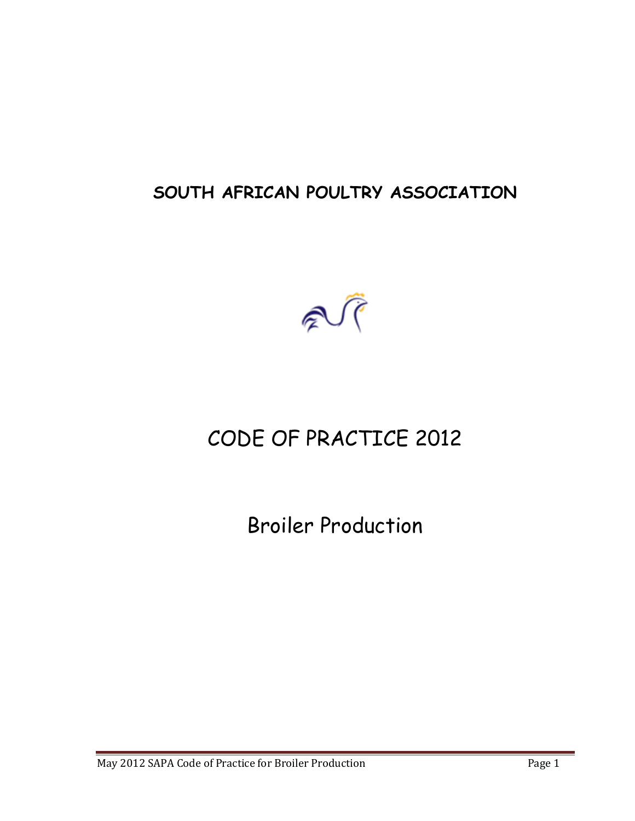## **SOUTH AFRICAN POULTRY ASSOCIATION**



# CODE OF PRACTICE 2012

Broiler Production

May 2012 SAPA Code of Practice for Broiler Production Page 1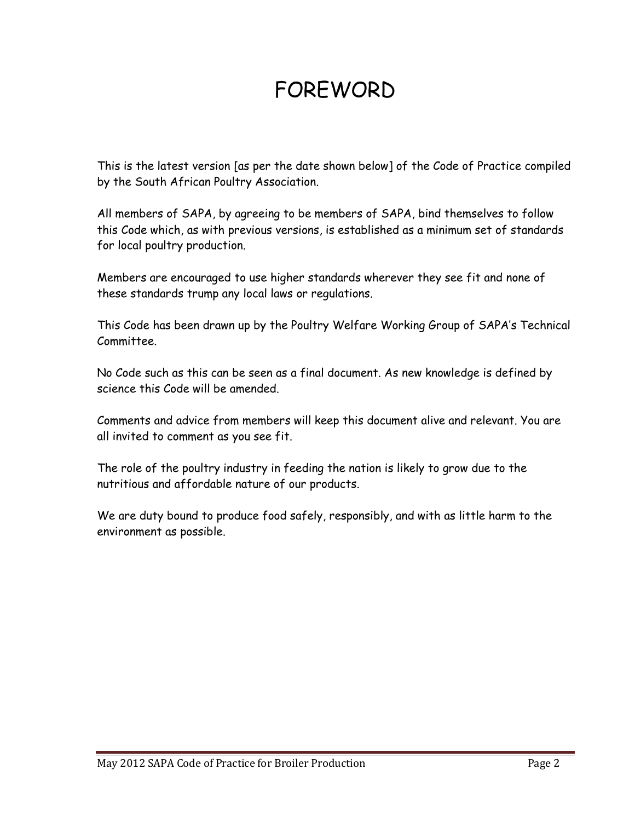# FOREWORD

This is the latest version [as per the date shown below] of the Code of Practice compiled by the South African Poultry Association.

All members of SAPA, by agreeing to be members of SAPA, bind themselves to follow this Code which, as with previous versions, is established as a minimum set of standards for local poultry production.

Members are encouraged to use higher standards wherever they see fit and none of these standards trump any local laws or regulations.

This Code has been drawn up by the Poultry Welfare Working Group of SAPA's Technical Committee.

No Code such as this can be seen as a final document. As new knowledge is defined by science this Code will be amended.

Comments and advice from members will keep this document alive and relevant. You are all invited to comment as you see fit.

The role of the poultry industry in feeding the nation is likely to grow due to the nutritious and affordable nature of our products.

We are duty bound to produce food safely, responsibly, and with as little harm to the environment as possible.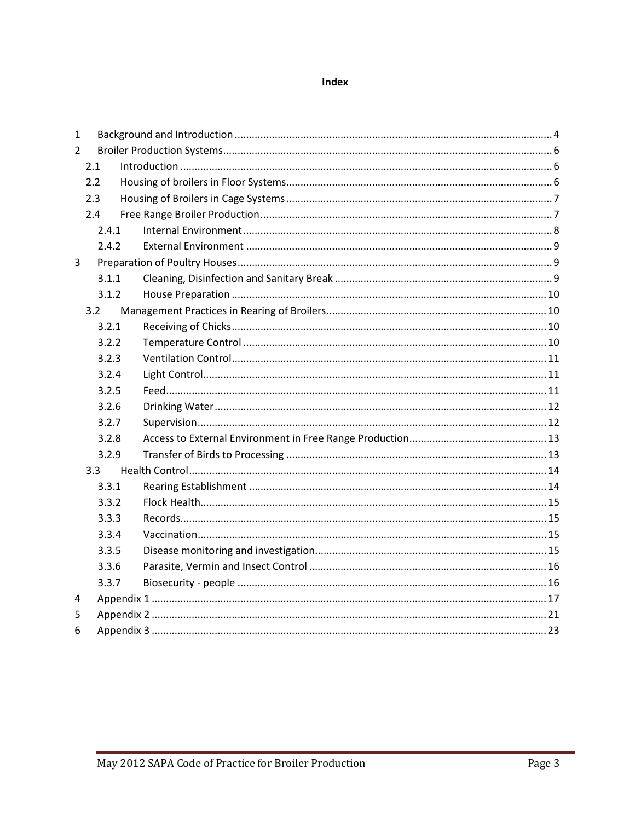#### Index

| 1              |       |  |  |  |  |  |  |  |  |
|----------------|-------|--|--|--|--|--|--|--|--|
| $\overline{2}$ |       |  |  |  |  |  |  |  |  |
|                | 2.1   |  |  |  |  |  |  |  |  |
|                | 2.2   |  |  |  |  |  |  |  |  |
|                | 2.3   |  |  |  |  |  |  |  |  |
|                | 2.4   |  |  |  |  |  |  |  |  |
|                | 2.4.1 |  |  |  |  |  |  |  |  |
|                | 2.4.2 |  |  |  |  |  |  |  |  |
| 3              |       |  |  |  |  |  |  |  |  |
|                | 3.1.1 |  |  |  |  |  |  |  |  |
|                | 3.1.2 |  |  |  |  |  |  |  |  |
|                | 3.2   |  |  |  |  |  |  |  |  |
|                | 3.2.1 |  |  |  |  |  |  |  |  |
|                | 3.2.2 |  |  |  |  |  |  |  |  |
|                | 3.2.3 |  |  |  |  |  |  |  |  |
|                | 3.2.4 |  |  |  |  |  |  |  |  |
|                | 3.2.5 |  |  |  |  |  |  |  |  |
|                | 3.2.6 |  |  |  |  |  |  |  |  |
|                | 3.2.7 |  |  |  |  |  |  |  |  |
|                | 3.2.8 |  |  |  |  |  |  |  |  |
|                | 3.2.9 |  |  |  |  |  |  |  |  |
|                | 3.3   |  |  |  |  |  |  |  |  |
|                | 3.3.1 |  |  |  |  |  |  |  |  |
|                | 3.3.2 |  |  |  |  |  |  |  |  |
|                | 3.3.3 |  |  |  |  |  |  |  |  |
|                | 3.3.4 |  |  |  |  |  |  |  |  |
|                | 3.3.5 |  |  |  |  |  |  |  |  |
|                | 3.3.6 |  |  |  |  |  |  |  |  |
|                | 3.3.7 |  |  |  |  |  |  |  |  |
| 4              |       |  |  |  |  |  |  |  |  |
| 5              |       |  |  |  |  |  |  |  |  |
| 6              |       |  |  |  |  |  |  |  |  |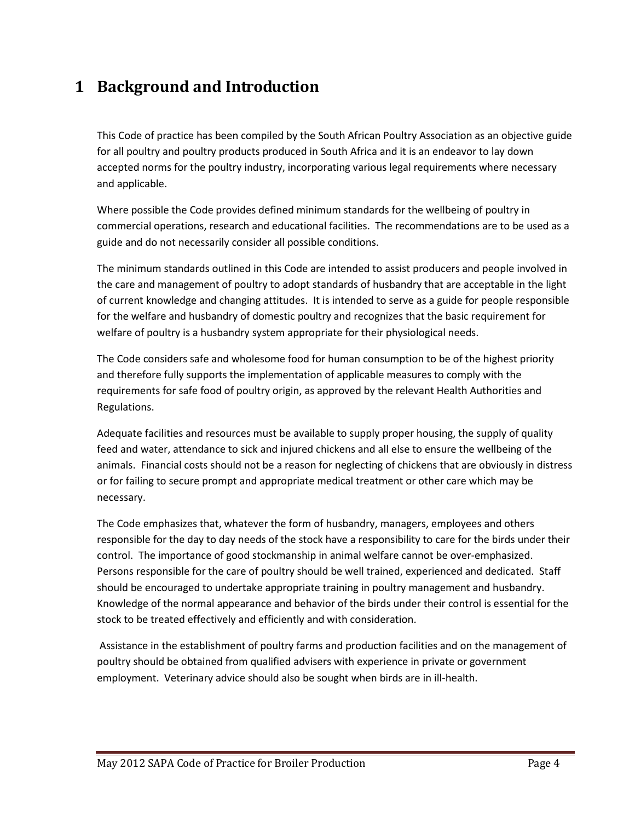## <span id="page-3-0"></span>**1 Background and Introduction**

This Code of practice has been compiled by the South African Poultry Association as an objective guide for all poultry and poultry products produced in South Africa and it is an endeavor to lay down accepted norms for the poultry industry, incorporating various legal requirements where necessary and applicable.

Where possible the Code provides defined minimum standards for the wellbeing of poultry in commercial operations, research and educational facilities. The recommendations are to be used as a guide and do not necessarily consider all possible conditions.

The minimum standards outlined in this Code are intended to assist producers and people involved in the care and management of poultry to adopt standards of husbandry that are acceptable in the light of current knowledge and changing attitudes. It is intended to serve as a guide for people responsible for the welfare and husbandry of domestic poultry and recognizes that the basic requirement for welfare of poultry is a husbandry system appropriate for their physiological needs.

The Code considers safe and wholesome food for human consumption to be of the highest priority and therefore fully supports the implementation of applicable measures to comply with the requirements for safe food of poultry origin, as approved by the relevant Health Authorities and Regulations.

Adequate facilities and resources must be available to supply proper housing, the supply of quality feed and water, attendance to sick and injured chickens and all else to ensure the wellbeing of the animals. Financial costs should not be a reason for neglecting of chickens that are obviously in distress or for failing to secure prompt and appropriate medical treatment or other care which may be necessary.

The Code emphasizes that, whatever the form of husbandry, managers, employees and others responsible for the day to day needs of the stock have a responsibility to care for the birds under their control. The importance of good stockmanship in animal welfare cannot be over-emphasized. Persons responsible for the care of poultry should be well trained, experienced and dedicated. Staff should be encouraged to undertake appropriate training in poultry management and husbandry. Knowledge of the normal appearance and behavior of the birds under their control is essential for the stock to be treated effectively and efficiently and with consideration.

Assistance in the establishment of poultry farms and production facilities and on the management of poultry should be obtained from qualified advisers with experience in private or government employment. Veterinary advice should also be sought when birds are in ill-health.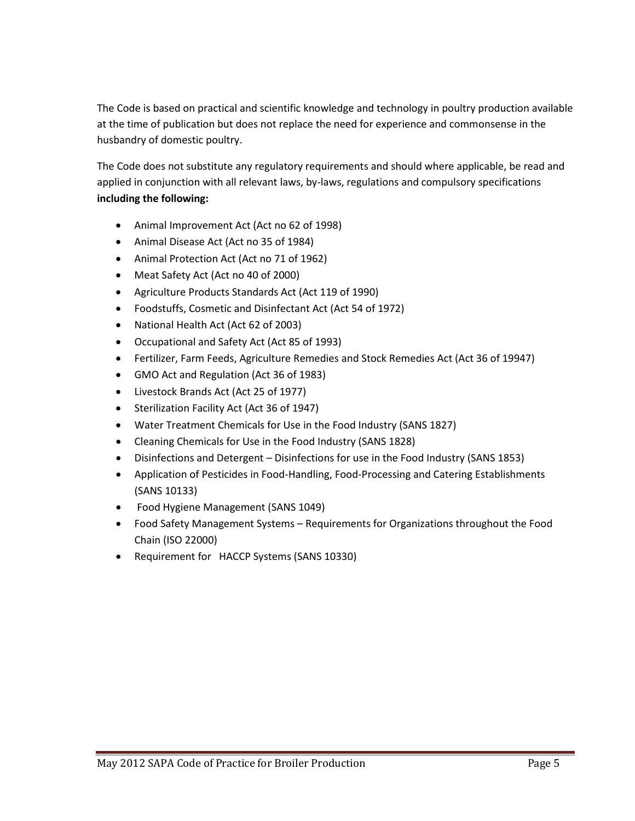The Code is based on practical and scientific knowledge and technology in poultry production available at the time of publication but does not replace the need for experience and commonsense in the husbandry of domestic poultry.

The Code does not substitute any regulatory requirements and should where applicable, be read and applied in conjunction with all relevant laws, by-laws, regulations and compulsory specifications **including the following:**

- Animal Improvement Act (Act no 62 of 1998)
- Animal Disease Act (Act no 35 of 1984)
- Animal Protection Act (Act no 71 of 1962)
- Meat Safety Act (Act no 40 of 2000)
- Agriculture Products Standards Act (Act 119 of 1990)
- Foodstuffs, Cosmetic and Disinfectant Act (Act 54 of 1972)
- National Health Act (Act 62 of 2003)
- Occupational and Safety Act (Act 85 of 1993)
- Fertilizer, Farm Feeds, Agriculture Remedies and Stock Remedies Act (Act 36 of 19947)
- GMO Act and Regulation (Act 36 of 1983)
- Livestock Brands Act (Act 25 of 1977)
- Sterilization Facility Act (Act 36 of 1947)
- Water Treatment Chemicals for Use in the Food Industry (SANS 1827)
- Cleaning Chemicals for Use in the Food Industry (SANS 1828)
- Disinfections and Detergent Disinfections for use in the Food Industry (SANS 1853)
- Application of Pesticides in Food-Handling, Food-Processing and Catering Establishments (SANS 10133)
- Food Hygiene Management (SANS 1049)
- Food Safety Management Systems Requirements for Organizations throughout the Food Chain (ISO 22000)
- Requirement for HACCP Systems (SANS 10330)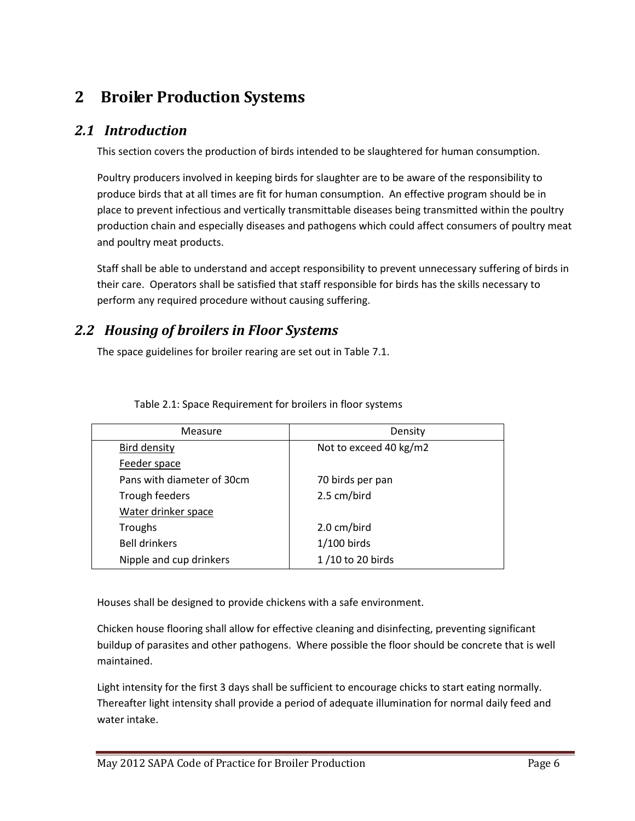## <span id="page-5-0"></span>**2 Broiler Production Systems**

## <span id="page-5-1"></span>*2.1 Introduction*

This section covers the production of birds intended to be slaughtered for human consumption.

Poultry producers involved in keeping birds for slaughter are to be aware of the responsibility to produce birds that at all times are fit for human consumption. An effective program should be in place to prevent infectious and vertically transmittable diseases being transmitted within the poultry production chain and especially diseases and pathogens which could affect consumers of poultry meat and poultry meat products.

Staff shall be able to understand and accept responsibility to prevent unnecessary suffering of birds in their care. Operators shall be satisfied that staff responsible for birds has the skills necessary to perform any required procedure without causing suffering.

## <span id="page-5-2"></span>*2.2 Housing of broilers in Floor Systems*

The space guidelines for broiler rearing are set out in Table 7.1.

| Measure                    | Density                |  |  |  |
|----------------------------|------------------------|--|--|--|
| Bird density               | Not to exceed 40 kg/m2 |  |  |  |
| Feeder space               |                        |  |  |  |
| Pans with diameter of 30cm | 70 birds per pan       |  |  |  |
| Trough feeders             | 2.5 cm/bird            |  |  |  |
| Water drinker space        |                        |  |  |  |
| Troughs                    | 2.0 cm/bird            |  |  |  |
| <b>Bell drinkers</b>       | $1/100$ birds          |  |  |  |
| Nipple and cup drinkers    | 1/10 to 20 birds       |  |  |  |

Table 2.1: Space Requirement for broilers in floor systems

Houses shall be designed to provide chickens with a safe environment.

Chicken house flooring shall allow for effective cleaning and disinfecting, preventing significant buildup of parasites and other pathogens. Where possible the floor should be concrete that is well maintained.

Light intensity for the first 3 days shall be sufficient to encourage chicks to start eating normally. Thereafter light intensity shall provide a period of adequate illumination for normal daily feed and water intake.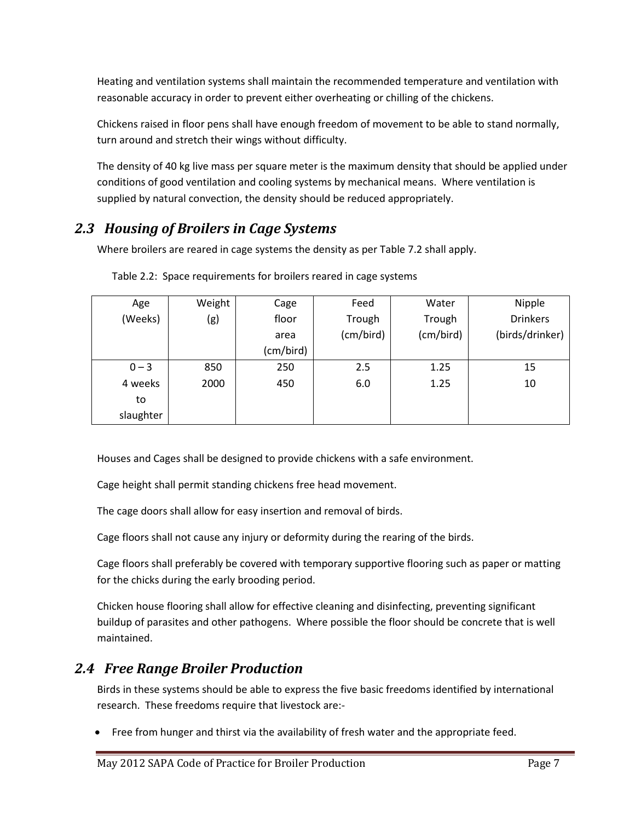Heating and ventilation systems shall maintain the recommended temperature and ventilation with reasonable accuracy in order to prevent either overheating or chilling of the chickens.

Chickens raised in floor pens shall have enough freedom of movement to be able to stand normally, turn around and stretch their wings without difficulty.

The density of 40 kg live mass per square meter is the maximum density that should be applied under conditions of good ventilation and cooling systems by mechanical means. Where ventilation is supplied by natural convection, the density should be reduced appropriately.

## <span id="page-6-0"></span>*2.3 Housing of Broilers in Cage Systems*

Where broilers are reared in cage systems the density as per Table 7.2 shall apply.

| Age       | Weight | Cage      | Feed      | Water     | Nipple          |
|-----------|--------|-----------|-----------|-----------|-----------------|
| (Weeks)   | (g)    | floor     | Trough    | Trough    | <b>Drinkers</b> |
|           |        | area      | (cm/bird) | (cm/bird) | (birds/drinker) |
|           |        | (cm/bird) |           |           |                 |
| $0 - 3$   | 850    | 250       | 2.5       | 1.25      | 15              |
| 4 weeks   | 2000   | 450       | 6.0       | 1.25      | 10              |
| to        |        |           |           |           |                 |
| slaughter |        |           |           |           |                 |

Table 2.2: Space requirements for broilers reared in cage systems

Houses and Cages shall be designed to provide chickens with a safe environment.

Cage height shall permit standing chickens free head movement.

The cage doors shall allow for easy insertion and removal of birds.

Cage floors shall not cause any injury or deformity during the rearing of the birds.

Cage floors shall preferably be covered with temporary supportive flooring such as paper or matting for the chicks during the early brooding period.

Chicken house flooring shall allow for effective cleaning and disinfecting, preventing significant buildup of parasites and other pathogens. Where possible the floor should be concrete that is well maintained.

## <span id="page-6-1"></span>*2.4 Free Range Broiler Production*

Birds in these systems should be able to express the five basic freedoms identified by international research. These freedoms require that livestock are:-

• Free from hunger and thirst via the availability of fresh water and the appropriate feed.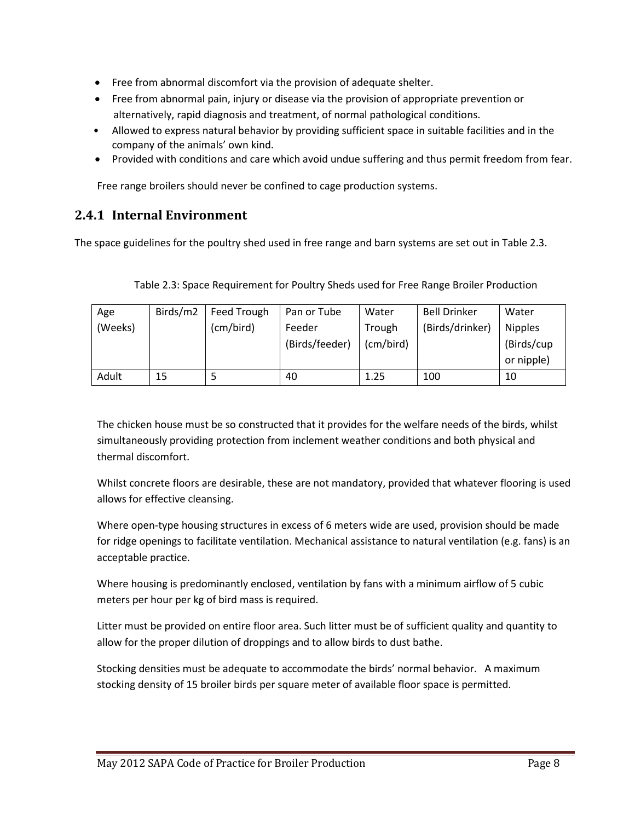- Free from abnormal discomfort via the provision of adequate shelter.
- Free from abnormal pain, injury or disease via the provision of appropriate prevention or alternatively, rapid diagnosis and treatment, of normal pathological conditions.
- Allowed to express natural behavior by providing sufficient space in suitable facilities and in the company of the animals' own kind.
- Provided with conditions and care which avoid undue suffering and thus permit freedom from fear.

Free range broilers should never be confined to cage production systems.

## <span id="page-7-0"></span>**2.4.1 Internal Environment**

The space guidelines for the poultry shed used in free range and barn systems are set out in Table 2.3.

| Age     | Birds/m2 | Feed Trough | Pan or Tube    | Water     | <b>Bell Drinker</b> | Water          |
|---------|----------|-------------|----------------|-----------|---------------------|----------------|
| (Weeks) |          | (cm/bird)   | Feeder         | Trough    | (Birds/drinker)     | <b>Nipples</b> |
|         |          |             | (Birds/feeder) | (cm/bird) |                     | (Birds/cup     |
|         |          |             |                |           |                     | or nipple)     |
| Adult   | 15       |             | 40             | 1.25      | 100                 | 10             |

Table 2.3: Space Requirement for Poultry Sheds used for Free Range Broiler Production

The chicken house must be so constructed that it provides for the welfare needs of the birds, whilst simultaneously providing protection from inclement weather conditions and both physical and thermal discomfort.

Whilst concrete floors are desirable, these are not mandatory, provided that whatever flooring is used allows for effective cleansing.

Where open-type housing structures in excess of 6 meters wide are used, provision should be made for ridge openings to facilitate ventilation. Mechanical assistance to natural ventilation (e.g. fans) is an acceptable practice.

Where housing is predominantly enclosed, ventilation by fans with a minimum airflow of 5 cubic meters per hour per kg of bird mass is required.

Litter must be provided on entire floor area. Such litter must be of sufficient quality and quantity to allow for the proper dilution of droppings and to allow birds to dust bathe.

Stocking densities must be adequate to accommodate the birds' normal behavior. A maximum stocking density of 15 broiler birds per square meter of available floor space is permitted.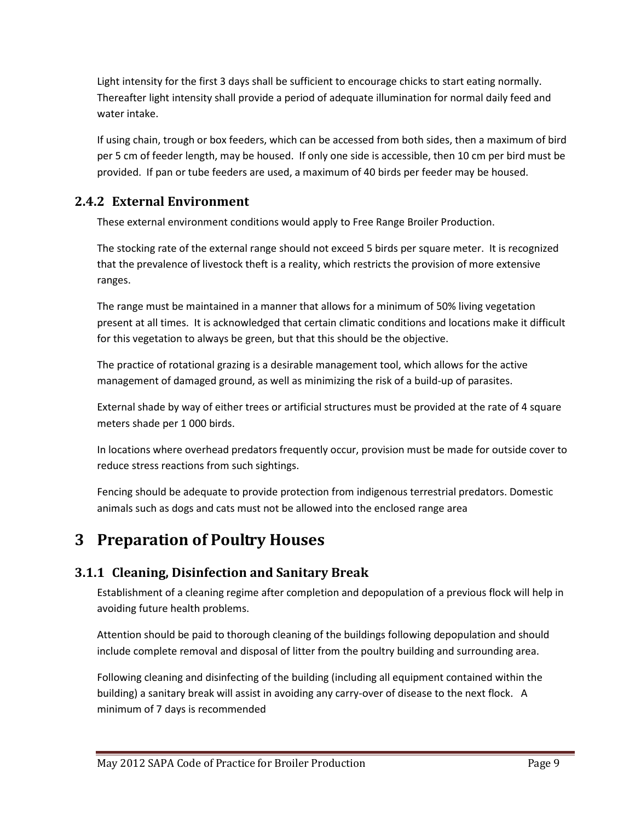Light intensity for the first 3 days shall be sufficient to encourage chicks to start eating normally. Thereafter light intensity shall provide a period of adequate illumination for normal daily feed and water intake.

If using chain, trough or box feeders, which can be accessed from both sides, then a maximum of bird per 5 cm of feeder length, may be housed. If only one side is accessible, then 10 cm per bird must be provided. If pan or tube feeders are used, a maximum of 40 birds per feeder may be housed.

## <span id="page-8-0"></span>**2.4.2 External Environment**

These external environment conditions would apply to Free Range Broiler Production.

The stocking rate of the external range should not exceed 5 birds per square meter. It is recognized that the prevalence of livestock theft is a reality, which restricts the provision of more extensive ranges.

The range must be maintained in a manner that allows for a minimum of 50% living vegetation present at all times. It is acknowledged that certain climatic conditions and locations make it difficult for this vegetation to always be green, but that this should be the objective.

The practice of rotational grazing is a desirable management tool, which allows for the active management of damaged ground, as well as minimizing the risk of a build-up of parasites.

External shade by way of either trees or artificial structures must be provided at the rate of 4 square meters shade per 1 000 birds.

In locations where overhead predators frequently occur, provision must be made for outside cover to reduce stress reactions from such sightings.

Fencing should be adequate to provide protection from indigenous terrestrial predators. Domestic animals such as dogs and cats must not be allowed into the enclosed range area

## <span id="page-8-1"></span>**3 Preparation of Poultry Houses**

## <span id="page-8-2"></span>**3.1.1 Cleaning, Disinfection and Sanitary Break**

Establishment of a cleaning regime after completion and depopulation of a previous flock will help in avoiding future health problems.

Attention should be paid to thorough cleaning of the buildings following depopulation and should include complete removal and disposal of litter from the poultry building and surrounding area.

Following cleaning and disinfecting of the building (including all equipment contained within the building) a sanitary break will assist in avoiding any carry-over of disease to the next flock. A minimum of 7 days is recommended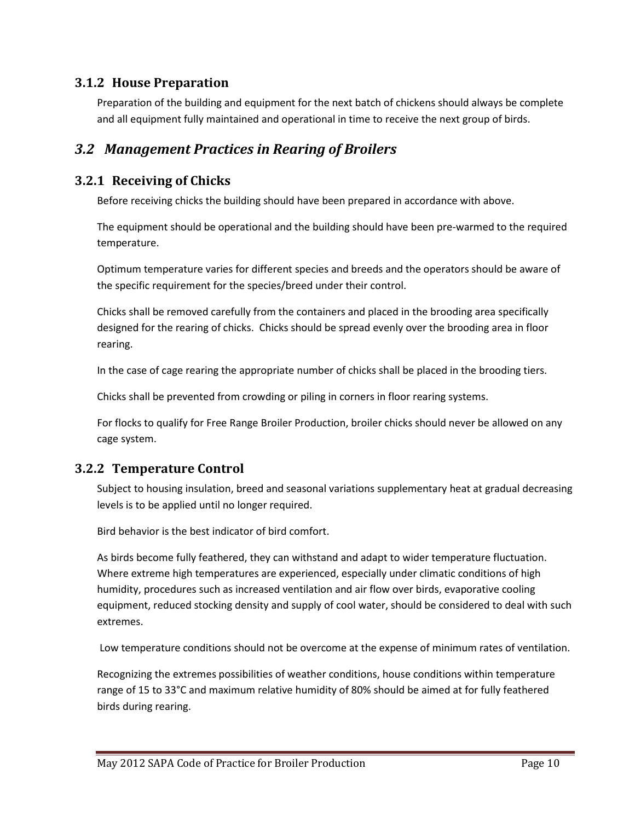### <span id="page-9-0"></span>**3.1.2 House Preparation**

Preparation of the building and equipment for the next batch of chickens should always be complete and all equipment fully maintained and operational in time to receive the next group of birds.

## <span id="page-9-1"></span>*3.2 Management Practices in Rearing of Broilers*

## <span id="page-9-2"></span>**3.2.1 Receiving of Chicks**

Before receiving chicks the building should have been prepared in accordance with above.

The equipment should be operational and the building should have been pre-warmed to the required temperature.

Optimum temperature varies for different species and breeds and the operators should be aware of the specific requirement for the species/breed under their control.

Chicks shall be removed carefully from the containers and placed in the brooding area specifically designed for the rearing of chicks. Chicks should be spread evenly over the brooding area in floor rearing.

In the case of cage rearing the appropriate number of chicks shall be placed in the brooding tiers.

Chicks shall be prevented from crowding or piling in corners in floor rearing systems.

For flocks to qualify for Free Range Broiler Production, broiler chicks should never be allowed on any cage system.

## <span id="page-9-3"></span>**3.2.2 Temperature Control**

Subject to housing insulation, breed and seasonal variations supplementary heat at gradual decreasing levels is to be applied until no longer required.

Bird behavior is the best indicator of bird comfort.

As birds become fully feathered, they can withstand and adapt to wider temperature fluctuation. Where extreme high temperatures are experienced, especially under climatic conditions of high humidity, procedures such as increased ventilation and air flow over birds, evaporative cooling equipment, reduced stocking density and supply of cool water, should be considered to deal with such extremes.

Low temperature conditions should not be overcome at the expense of minimum rates of ventilation.

Recognizing the extremes possibilities of weather conditions, house conditions within temperature range of 15 to 33°C and maximum relative humidity of 80% should be aimed at for fully feathered birds during rearing.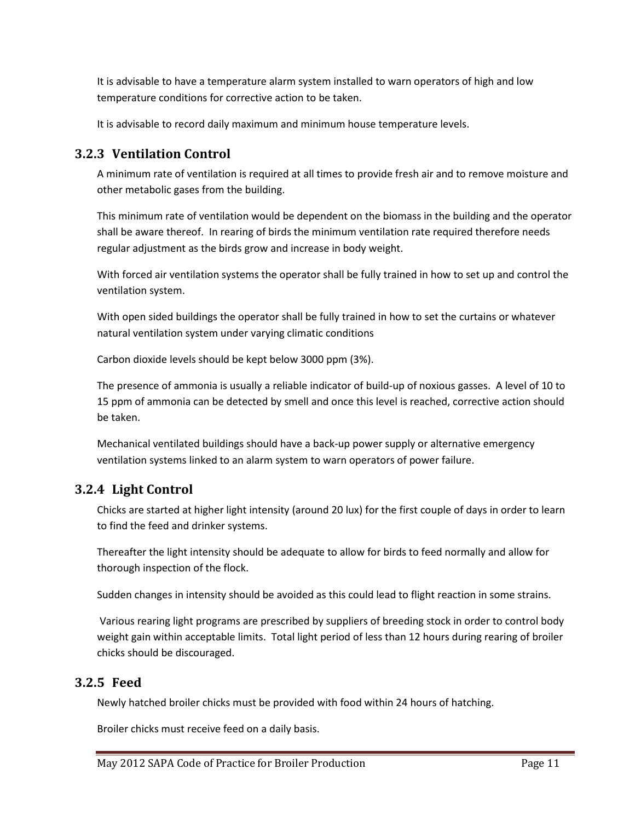It is advisable to have a temperature alarm system installed to warn operators of high and low temperature conditions for corrective action to be taken.

It is advisable to record daily maximum and minimum house temperature levels.

## <span id="page-10-0"></span>**3.2.3 Ventilation Control**

A minimum rate of ventilation is required at all times to provide fresh air and to remove moisture and other metabolic gases from the building.

This minimum rate of ventilation would be dependent on the biomass in the building and the operator shall be aware thereof. In rearing of birds the minimum ventilation rate required therefore needs regular adjustment as the birds grow and increase in body weight.

With forced air ventilation systems the operator shall be fully trained in how to set up and control the ventilation system.

With open sided buildings the operator shall be fully trained in how to set the curtains or whatever natural ventilation system under varying climatic conditions

Carbon dioxide levels should be kept below 3000 ppm (3%).

The presence of ammonia is usually a reliable indicator of build-up of noxious gasses. A level of 10 to 15 ppm of ammonia can be detected by smell and once this level is reached, corrective action should be taken.

Mechanical ventilated buildings should have a back-up power supply or alternative emergency ventilation systems linked to an alarm system to warn operators of power failure.

## <span id="page-10-1"></span>**3.2.4 Light Control**

Chicks are started at higher light intensity (around 20 lux) for the first couple of days in order to learn to find the feed and drinker systems.

Thereafter the light intensity should be adequate to allow for birds to feed normally and allow for thorough inspection of the flock.

Sudden changes in intensity should be avoided as this could lead to flight reaction in some strains.

Various rearing light programs are prescribed by suppliers of breeding stock in order to control body weight gain within acceptable limits. Total light period of less than 12 hours during rearing of broiler chicks should be discouraged.

### <span id="page-10-2"></span>**3.2.5 Feed**

Newly hatched broiler chicks must be provided with food within 24 hours of hatching.

Broiler chicks must receive feed on a daily basis.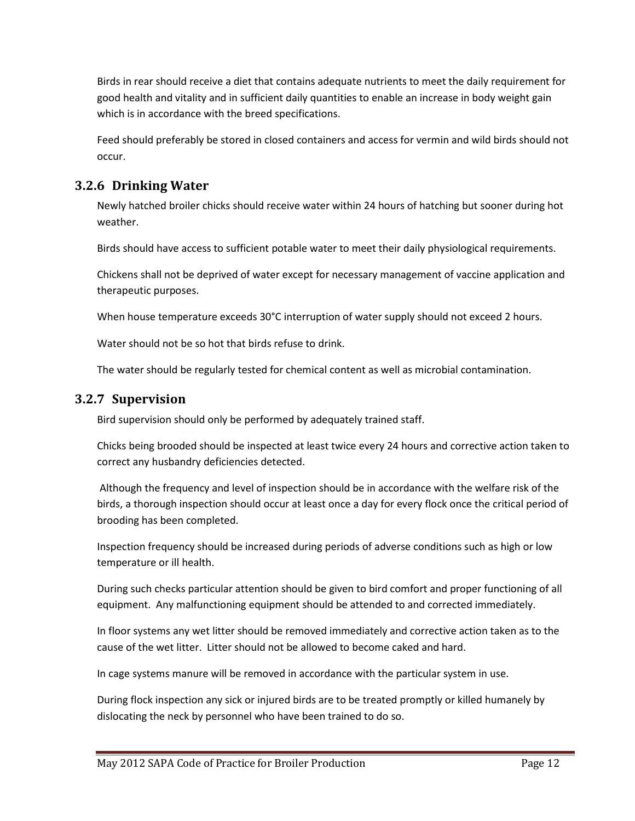Birds in rear should receive a diet that contains adequate nutrients to meet the daily requirement for good health and vitality and in sufficient daily quantities to enable an increase in body weight gain which is in accordance with the breed specifications.

Feed should preferably be stored in closed containers and access for vermin and wild birds should not occur.

## <span id="page-11-0"></span>**3.2.6 Drinking Water**

Newly hatched broiler chicks should receive water within 24 hours of hatching but sooner during hot weather.

Birds should have access to sufficient potable water to meet their daily physiological requirements.

Chickens shall not be deprived of water except for necessary management of vaccine application and therapeutic purposes.

When house temperature exceeds 30°C interruption of water supply should not exceed 2 hours.

Water should not be so hot that birds refuse to drink.

The water should be regularly tested for chemical content as well as microbial contamination.

### <span id="page-11-1"></span>**3.2.7 Supervision**

Bird supervision should only be performed by adequately trained staff.

Chicks being brooded should be inspected at least twice every 24 hours and corrective action taken to correct any husbandry deficiencies detected.

Although the frequency and level of inspection should be in accordance with the welfare risk of the birds, a thorough inspection should occur at least once a day for every flock once the critical period of brooding has been completed.

Inspection frequency should be increased during periods of adverse conditions such as high or low temperature or ill health.

During such checks particular attention should be given to bird comfort and proper functioning of all equipment. Any malfunctioning equipment should be attended to and corrected immediately.

In floor systems any wet litter should be removed immediately and corrective action taken as to the cause of the wet litter. Litter should not be allowed to become caked and hard.

In cage systems manure will be removed in accordance with the particular system in use.

During flock inspection any sick or injured birds are to be treated promptly or killed humanely by dislocating the neck by personnel who have been trained to do so.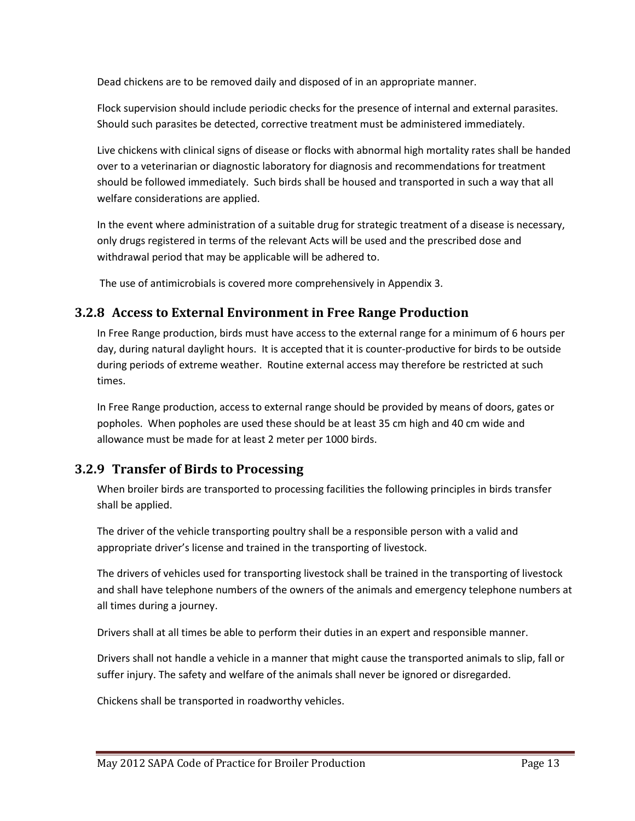Dead chickens are to be removed daily and disposed of in an appropriate manner.

Flock supervision should include periodic checks for the presence of internal and external parasites. Should such parasites be detected, corrective treatment must be administered immediately.

Live chickens with clinical signs of disease or flocks with abnormal high mortality rates shall be handed over to a veterinarian or diagnostic laboratory for diagnosis and recommendations for treatment should be followed immediately. Such birds shall be housed and transported in such a way that all welfare considerations are applied.

In the event where administration of a suitable drug for strategic treatment of a disease is necessary, only drugs registered in terms of the relevant Acts will be used and the prescribed dose and withdrawal period that may be applicable will be adhered to.

The use of antimicrobials is covered more comprehensively in Appendix 3.

## <span id="page-12-0"></span>**3.2.8 Access to External Environment in Free Range Production**

In Free Range production, birds must have access to the external range for a minimum of 6 hours per day, during natural daylight hours. It is accepted that it is counter-productive for birds to be outside during periods of extreme weather. Routine external access may therefore be restricted at such times.

In Free Range production, access to external range should be provided by means of doors, gates or popholes. When popholes are used these should be at least 35 cm high and 40 cm wide and allowance must be made for at least 2 meter per 1000 birds.

### <span id="page-12-1"></span>**3.2.9 Transfer of Birds to Processing**

When broiler birds are transported to processing facilities the following principles in birds transfer shall be applied.

The driver of the vehicle transporting poultry shall be a responsible person with a valid and appropriate driver's license and trained in the transporting of livestock.

The drivers of vehicles used for transporting livestock shall be trained in the transporting of livestock and shall have telephone numbers of the owners of the animals and emergency telephone numbers at all times during a journey.

Drivers shall at all times be able to perform their duties in an expert and responsible manner.

Drivers shall not handle a vehicle in a manner that might cause the transported animals to slip, fall or suffer injury. The safety and welfare of the animals shall never be ignored or disregarded.

Chickens shall be transported in roadworthy vehicles.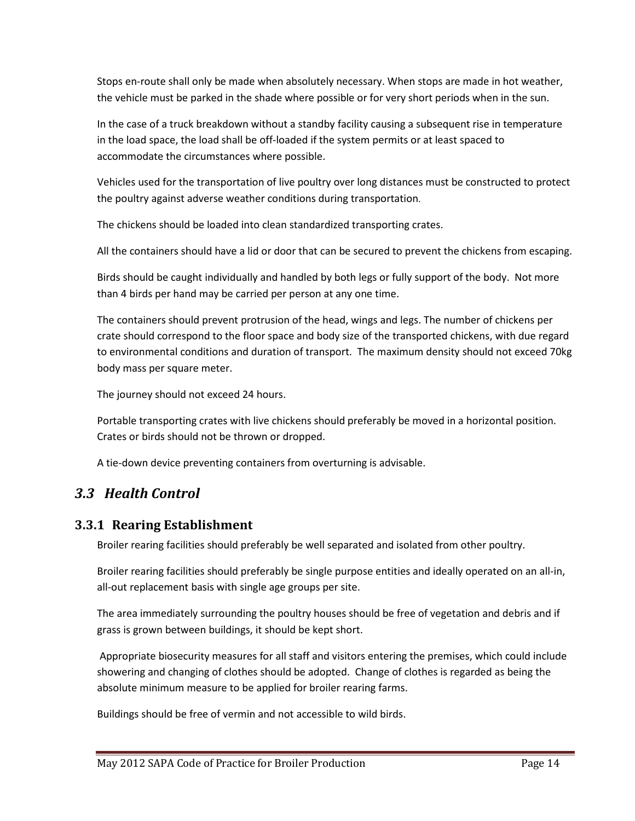Stops en-route shall only be made when absolutely necessary. When stops are made in hot weather, the vehicle must be parked in the shade where possible or for very short periods when in the sun.

In the case of a truck breakdown without a standby facility causing a subsequent rise in temperature in the load space, the load shall be off-loaded if the system permits or at least spaced to accommodate the circumstances where possible.

Vehicles used for the transportation of live poultry over long distances must be constructed to protect the poultry against adverse weather conditions during transportation.

The chickens should be loaded into clean standardized transporting crates.

All the containers should have a lid or door that can be secured to prevent the chickens from escaping.

Birds should be caught individually and handled by both legs or fully support of the body. Not more than 4 birds per hand may be carried per person at any one time.

The containers should prevent protrusion of the head, wings and legs. The number of chickens per crate should correspond to the floor space and body size of the transported chickens, with due regard to environmental conditions and duration of transport. The maximum density should not exceed 70kg body mass per square meter.

The journey should not exceed 24 hours.

Portable transporting crates with live chickens should preferably be moved in a horizontal position. Crates or birds should not be thrown or dropped.

A tie-down device preventing containers from overturning is advisable.

## <span id="page-13-0"></span>*3.3 Health Control*

#### <span id="page-13-1"></span>**3.3.1 Rearing Establishment**

Broiler rearing facilities should preferably be well separated and isolated from other poultry.

Broiler rearing facilities should preferably be single purpose entities and ideally operated on an all-in, all-out replacement basis with single age groups per site.

The area immediately surrounding the poultry houses should be free of vegetation and debris and if grass is grown between buildings, it should be kept short.

Appropriate biosecurity measures for all staff and visitors entering the premises, which could include showering and changing of clothes should be adopted. Change of clothes is regarded as being the absolute minimum measure to be applied for broiler rearing farms.

Buildings should be free of vermin and not accessible to wild birds.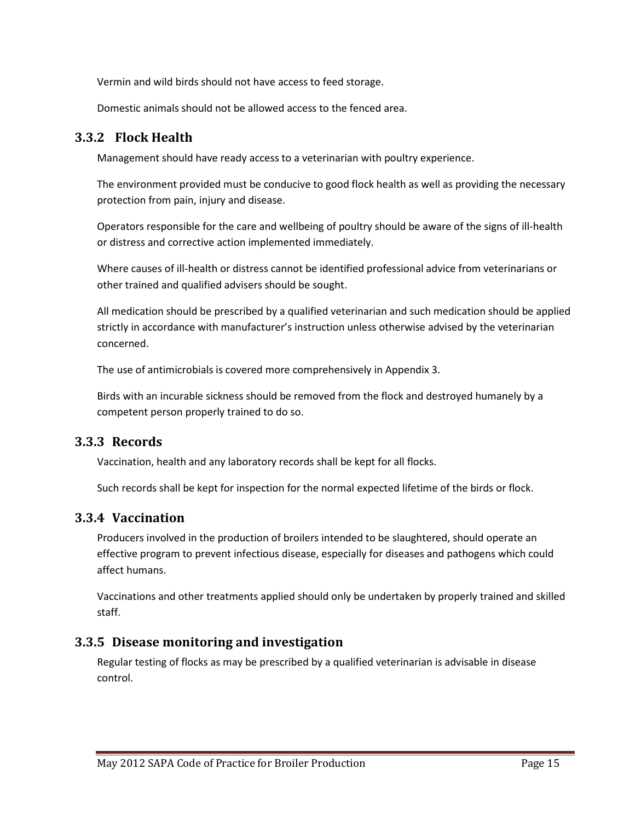Vermin and wild birds should not have access to feed storage.

Domestic animals should not be allowed access to the fenced area.

### **3.3.2 Flock Health**

<span id="page-14-0"></span>Management should have ready access to a veterinarian with poultry experience.

The environment provided must be conducive to good flock health as well as providing the necessary protection from pain, injury and disease.

Operators responsible for the care and wellbeing of poultry should be aware of the signs of ill-health or distress and corrective action implemented immediately.

Where causes of ill-health or distress cannot be identified professional advice from veterinarians or other trained and qualified advisers should be sought.

All medication should be prescribed by a qualified veterinarian and such medication should be applied strictly in accordance with manufacturer's instruction unless otherwise advised by the veterinarian concerned.

The use of antimicrobials is covered more comprehensively in Appendix 3.

Birds with an incurable sickness should be removed from the flock and destroyed humanely by a competent person properly trained to do so.

#### <span id="page-14-1"></span>**3.3.3 Records**

Vaccination, health and any laboratory records shall be kept for all flocks.

Such records shall be kept for inspection for the normal expected lifetime of the birds or flock.

#### <span id="page-14-2"></span>**3.3.4 Vaccination**

Producers involved in the production of broilers intended to be slaughtered, should operate an effective program to prevent infectious disease, especially for diseases and pathogens which could affect humans.

Vaccinations and other treatments applied should only be undertaken by properly trained and skilled staff.

#### <span id="page-14-3"></span>**3.3.5 Disease monitoring and investigation**

Regular testing of flocks as may be prescribed by a qualified veterinarian is advisable in disease control.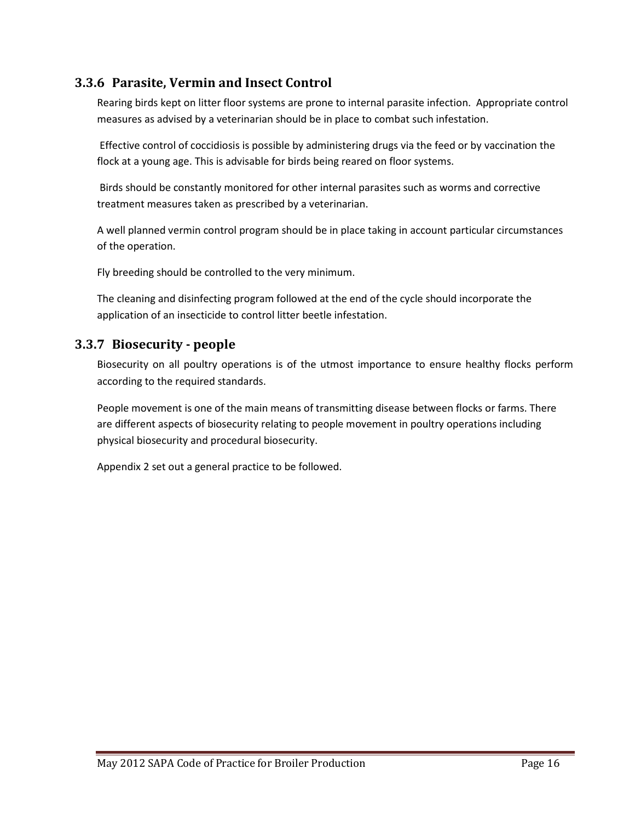### <span id="page-15-0"></span>**3.3.6 Parasite, Vermin and Insect Control**

Rearing birds kept on litter floor systems are prone to internal parasite infection. Appropriate control measures as advised by a veterinarian should be in place to combat such infestation.

Effective control of coccidiosis is possible by administering drugs via the feed or by vaccination the flock at a young age. This is advisable for birds being reared on floor systems.

Birds should be constantly monitored for other internal parasites such as worms and corrective treatment measures taken as prescribed by a veterinarian.

A well planned vermin control program should be in place taking in account particular circumstances of the operation.

Fly breeding should be controlled to the very minimum.

The cleaning and disinfecting program followed at the end of the cycle should incorporate the application of an insecticide to control litter beetle infestation.

### <span id="page-15-1"></span>**3.3.7 Biosecurity - people**

Biosecurity on all poultry operations is of the utmost importance to ensure healthy flocks perform according to the required standards.

People movement is one of the main means of transmitting disease between flocks or farms. There are different aspects of biosecurity relating to people movement in poultry operations including physical biosecurity and procedural biosecurity.

Appendix 2 set out a general practice to be followed.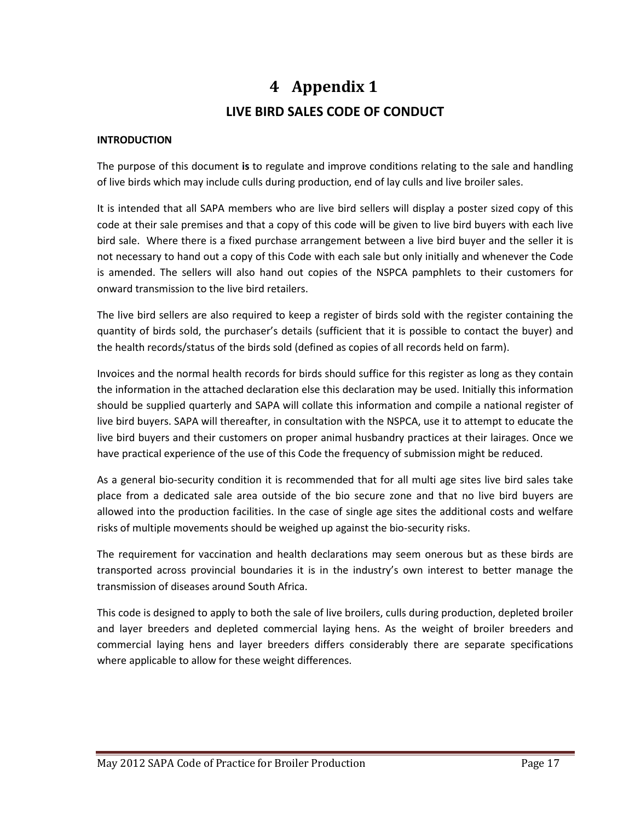## **4 Appendix 1 LIVE BIRD SALES CODE OF CONDUCT**

#### <span id="page-16-0"></span>**INTRODUCTION**

The purpose of this document **is** to regulate and improve conditions relating to the sale and handling of live birds which may include culls during production, end of lay culls and live broiler sales.

It is intended that all SAPA members who are live bird sellers will display a poster sized copy of this code at their sale premises and that a copy of this code will be given to live bird buyers with each live bird sale. Where there is a fixed purchase arrangement between a live bird buyer and the seller it is not necessary to hand out a copy of this Code with each sale but only initially and whenever the Code is amended. The sellers will also hand out copies of the NSPCA pamphlets to their customers for onward transmission to the live bird retailers.

The live bird sellers are also required to keep a register of birds sold with the register containing the quantity of birds sold, the purchaser's details (sufficient that it is possible to contact the buyer) and the health records/status of the birds sold (defined as copies of all records held on farm).

Invoices and the normal health records for birds should suffice for this register as long as they contain the information in the attached declaration else this declaration may be used. Initially this information should be supplied quarterly and SAPA will collate this information and compile a national register of live bird buyers. SAPA will thereafter, in consultation with the NSPCA, use it to attempt to educate the live bird buyers and their customers on proper animal husbandry practices at their lairages. Once we have practical experience of the use of this Code the frequency of submission might be reduced.

As a general bio-security condition it is recommended that for all multi age sites live bird sales take place from a dedicated sale area outside of the bio secure zone and that no live bird buyers are allowed into the production facilities. In the case of single age sites the additional costs and welfare risks of multiple movements should be weighed up against the bio-security risks.

The requirement for vaccination and health declarations may seem onerous but as these birds are transported across provincial boundaries it is in the industry's own interest to better manage the transmission of diseases around South Africa.

This code is designed to apply to both the sale of live broilers, culls during production, depleted broiler and layer breeders and depleted commercial laying hens. As the weight of broiler breeders and commercial laying hens and layer breeders differs considerably there are separate specifications where applicable to allow for these weight differences.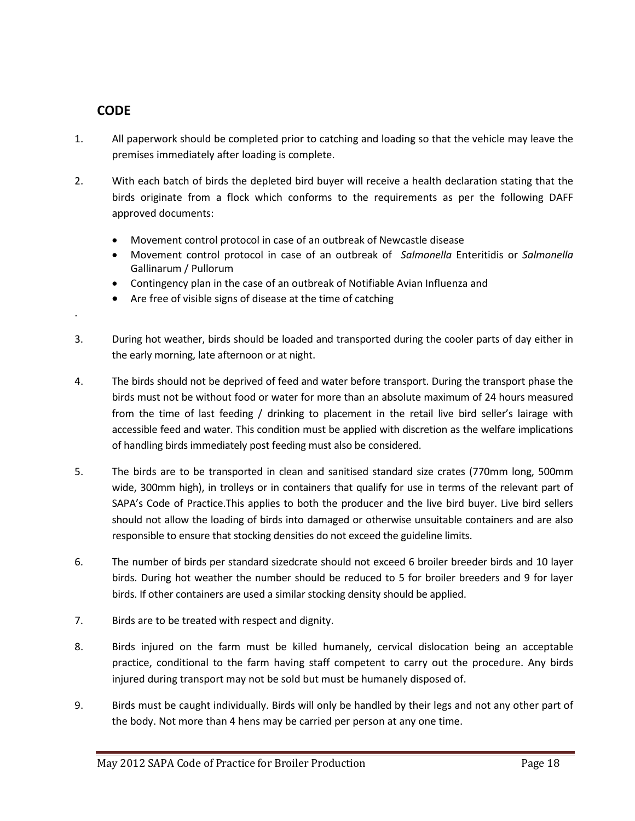## **CODE**

.

- 1. All paperwork should be completed prior to catching and loading so that the vehicle may leave the premises immediately after loading is complete.
- 2. With each batch of birds the depleted bird buyer will receive a health declaration stating that the birds originate from a flock which conforms to the requirements as per the following DAFF approved documents:
	- Movement control protocol in case of an outbreak of Newcastle disease
	- Movement control protocol in case of an outbreak of *Salmonella* Enteritidis or *Salmonella* Gallinarum / Pullorum
	- Contingency plan in the case of an outbreak of Notifiable Avian Influenza and
	- Are free of visible signs of disease at the time of catching
- 3. During hot weather, birds should be loaded and transported during the cooler parts of day either in the early morning, late afternoon or at night.
- 4. The birds should not be deprived of feed and water before transport. During the transport phase the birds must not be without food or water for more than an absolute maximum of 24 hours measured from the time of last feeding / drinking to placement in the retail live bird seller's lairage with accessible feed and water. This condition must be applied with discretion as the welfare implications of handling birds immediately post feeding must also be considered.
- 5. The birds are to be transported in clean and sanitised standard size crates (770mm long, 500mm wide, 300mm high), in trolleys or in containers that qualify for use in terms of the relevant part of SAPA's Code of Practice.This applies to both the producer and the live bird buyer. Live bird sellers should not allow the loading of birds into damaged or otherwise unsuitable containers and are also responsible to ensure that stocking densities do not exceed the guideline limits.
- 6. The number of birds per standard sizedcrate should not exceed 6 broiler breeder birds and 10 layer birds. During hot weather the number should be reduced to 5 for broiler breeders and 9 for layer birds. If other containers are used a similar stocking density should be applied.
- 7. Birds are to be treated with respect and dignity.
- 8. Birds injured on the farm must be killed humanely, cervical dislocation being an acceptable practice, conditional to the farm having staff competent to carry out the procedure. Any birds injured during transport may not be sold but must be humanely disposed of.
- 9. Birds must be caught individually. Birds will only be handled by their legs and not any other part of the body. Not more than 4 hens may be carried per person at any one time.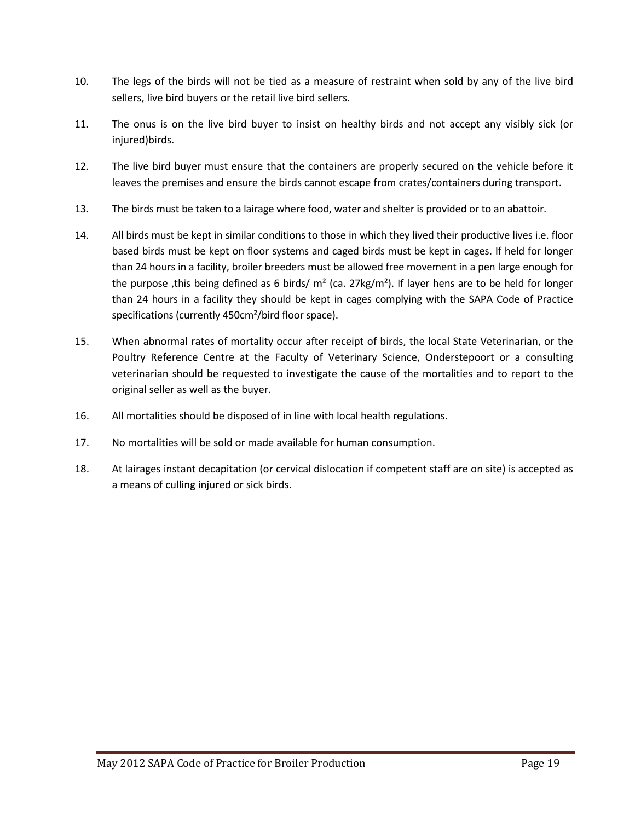- 10. The legs of the birds will not be tied as a measure of restraint when sold by any of the live bird sellers, live bird buyers or the retail live bird sellers.
- 11. The onus is on the live bird buyer to insist on healthy birds and not accept any visibly sick (or injured)birds.
- 12. The live bird buyer must ensure that the containers are properly secured on the vehicle before it leaves the premises and ensure the birds cannot escape from crates/containers during transport.
- 13. The birds must be taken to a lairage where food, water and shelter is provided or to an abattoir.
- 14. All birds must be kept in similar conditions to those in which they lived their productive lives i.e. floor based birds must be kept on floor systems and caged birds must be kept in cages. If held for longer than 24 hours in a facility, broiler breeders must be allowed free movement in a pen large enough for the purpose , this being defined as 6 birds/  $m^2$  (ca. 27kg/m<sup>2</sup>). If layer hens are to be held for longer than 24 hours in a facility they should be kept in cages complying with the SAPA Code of Practice specifications (currently 450cm<sup>2</sup>/bird floor space).
- 15. When abnormal rates of mortality occur after receipt of birds, the local State Veterinarian, or the Poultry Reference Centre at the Faculty of Veterinary Science, Onderstepoort or a consulting veterinarian should be requested to investigate the cause of the mortalities and to report to the original seller as well as the buyer.
- 16. All mortalities should be disposed of in line with local health regulations.
- 17. No mortalities will be sold or made available for human consumption.
- 18. At lairages instant decapitation (or cervical dislocation if competent staff are on site) is accepted as a means of culling injured or sick birds.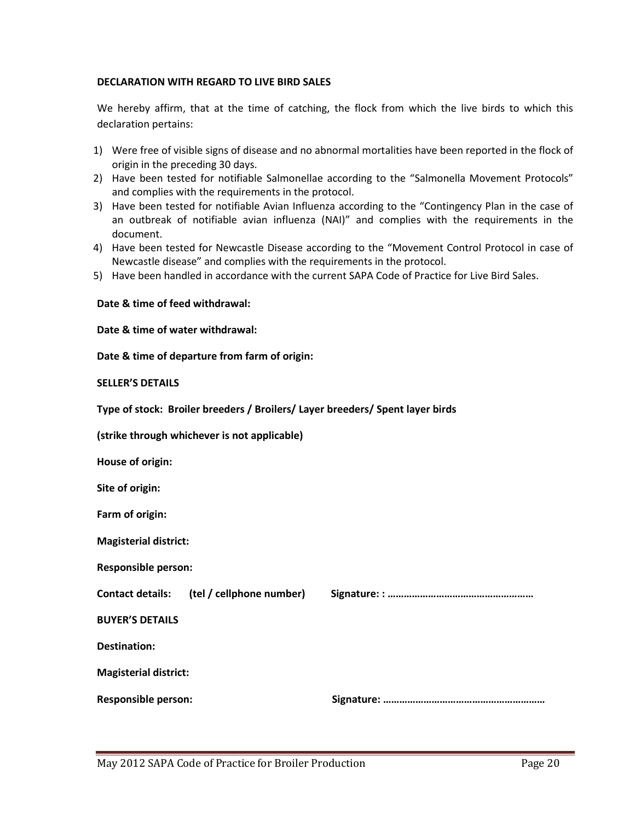#### **DECLARATION WITH REGARD TO LIVE BIRD SALES**

We hereby affirm, that at the time of catching, the flock from which the live birds to which this declaration pertains:

- 1) Were free of visible signs of disease and no abnormal mortalities have been reported in the flock of origin in the preceding 30 days.
- 2) Have been tested for notifiable Salmonellae according to the "Salmonella Movement Protocols" and complies with the requirements in the protocol.
- 3) Have been tested for notifiable Avian Influenza according to the "Contingency Plan in the case of an outbreak of notifiable avian influenza (NAI)" and complies with the requirements in the document.
- 4) Have been tested for Newcastle Disease according to the "Movement Control Protocol in case of Newcastle disease" and complies with the requirements in the protocol.
- 5) Have been handled in accordance with the current SAPA Code of Practice for Live Bird Sales.

#### **Date & time of feed withdrawal:**

**Date & time of water withdrawal:** 

**Date & time of departure from farm of origin:** 

#### **SELLER'S DETAILS**

**Type of stock: Broiler breeders / Broilers/ Layer breeders/ Spent layer birds** 

**(strike through whichever is not applicable)**

**House of origin:**

**Site of origin:** 

**Farm of origin:** 

**Magisterial district:** 

**Responsible person:** 

**Contact details: (tel / cellphone number) Signature: : ………………………………………………**

**BUYER'S DETAILS**

**Destination:**

**Magisterial district:**

**Responsible person: Signature: ……………………………………………………**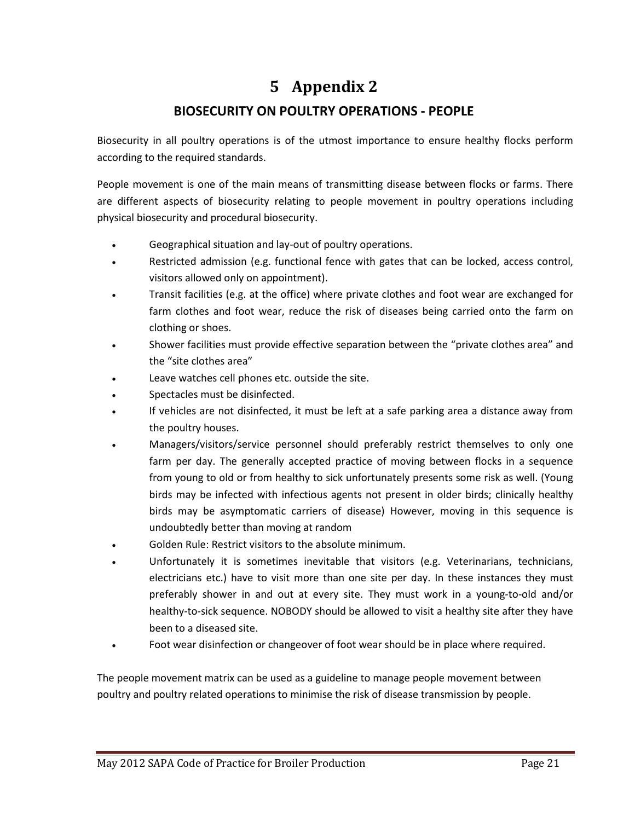## **5 Appendix 2**

## **BIOSECURITY ON POULTRY OPERATIONS - PEOPLE**

<span id="page-20-0"></span>Biosecurity in all poultry operations is of the utmost importance to ensure healthy flocks perform according to the required standards.

People movement is one of the main means of transmitting disease between flocks or farms. There are different aspects of biosecurity relating to people movement in poultry operations including physical biosecurity and procedural biosecurity.

- Geographical situation and lay-out of poultry operations.
- Restricted admission (e.g. functional fence with gates that can be locked, access control, visitors allowed only on appointment).
- Transit facilities (e.g. at the office) where private clothes and foot wear are exchanged for farm clothes and foot wear, reduce the risk of diseases being carried onto the farm on clothing or shoes.
- Shower facilities must provide effective separation between the "private clothes area" and the "site clothes area"
- Leave watches cell phones etc. outside the site.
- Spectacles must be disinfected.
- If vehicles are not disinfected, it must be left at a safe parking area a distance away from the poultry houses.
- Managers/visitors/service personnel should preferably restrict themselves to only one farm per day. The generally accepted practice of moving between flocks in a sequence from young to old or from healthy to sick unfortunately presents some risk as well. (Young birds may be infected with infectious agents not present in older birds; clinically healthy birds may be asymptomatic carriers of disease) However, moving in this sequence is undoubtedly better than moving at random
- Golden Rule: Restrict visitors to the absolute minimum.
- Unfortunately it is sometimes inevitable that visitors (e.g. Veterinarians, technicians, electricians etc.) have to visit more than one site per day. In these instances they must preferably shower in and out at every site. They must work in a young-to-old and/or healthy-to-sick sequence. NOBODY should be allowed to visit a healthy site after they have been to a diseased site.
- Foot wear disinfection or changeover of foot wear should be in place where required.

The people movement matrix can be used as a guideline to manage people movement between poultry and poultry related operations to minimise the risk of disease transmission by people.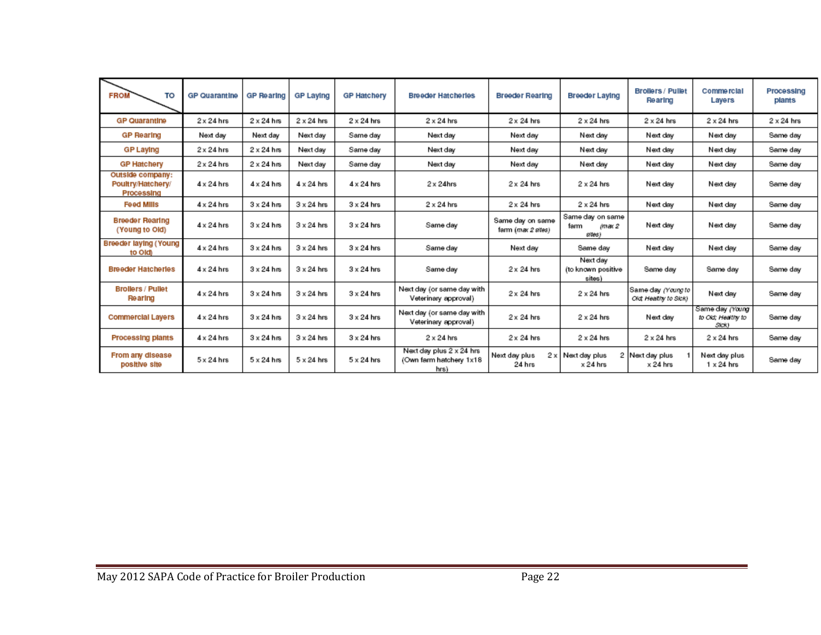| <b>FROM</b><br>TO                                   | <b>GP Quarantine</b> | GP Rearing        | GP Laying         | <b>GP Hatchery</b> | <b>Breeder Hatcherles</b>                                   | <b>Breeder Rearing</b>                 | Breeder Laying                               | <b>Brollers / Pullet</b><br>Rearing               | Commercial<br>Layers                           | Processing<br>plants |
|-----------------------------------------------------|----------------------|-------------------|-------------------|--------------------|-------------------------------------------------------------|----------------------------------------|----------------------------------------------|---------------------------------------------------|------------------------------------------------|----------------------|
| <b>GP Quarantine</b>                                | $2 \times 24$ hrs    | $2 \times 24$ hrs | $2 \times 24$ hrs | $2 \times 24$ hrs  | $2 \times 24$ hrs                                           | $2 \times 24$ hrs                      | $2 \times 24$ hrs                            | $2 \times 24$ hrs                                 | $2 \times 24$ hrs                              | $2 \times 24$ hrs    |
| <b>GP Rearing</b>                                   | Next day             | Next day          | Next day          | Same day           | Next day                                                    | Next day                               | Next day                                     | Next day                                          | Next day                                       | Same day             |
| <b>GP Laying</b>                                    | $2 \times 24$ hrs    | $2 \times 24$ hrs | Next day          | Same day           | Next day                                                    | Next day                               | Next day                                     | Next day                                          | Next day                                       | Same day             |
| <b>GP Hatchery</b>                                  | $2 \times 24$ hrs    | $2 \times 24$ hrs | Next day          | Same day           | Next day                                                    | Next day                               | Next day                                     | Next day                                          | Next day                                       | Same day             |
| Outside company:<br>Poultry/Hatchery/<br>Processing | $4 \times 24$ hrs    | $4 \times 24$ hrs | $4 \times 24$ hrs | $4 \times 24$ hrs  | $2 \times 24$ hrs                                           | $2 \times 24$ hrs                      | $2 \times 24$ hrs                            | Next day                                          | Next day                                       | Same day             |
| <b>Feed Mills</b>                                   | $4 \times 24$ hrs    | $3 \times 24$ hrs | $3 \times 24$ hrs | $3 \times 24$ hrs  | $2 \times 24$ hrs                                           | $2 \times 24$ hrs                      | $2 \times 24$ hrs                            | Next day                                          | Next day                                       | Same day             |
| <b>Breeder Rearing</b><br>(Young to Old)            | $4 \times 24$ hrs    | $3 \times 24$ hrs | $3 \times 24$ hrs | $3 \times 24$ hrs  | Same day                                                    | Same day on same<br>farm (max 2 sites) | Same day on same<br>farm<br>imax 2<br>sites) | Next day                                          | Next day                                       | Same day             |
| Breeder laying (Young<br>to Oldi                    | $4 \times 24$ hrs    | $3 \times 24$ hrs | $3 \times 24$ hrs | $3 \times 24$ hrs  | Same day                                                    | Next day                               | Same day                                     | Next day                                          | Next day                                       | Same day             |
| <b>Breeder Hatcherles</b>                           | $4 \times 24$ hrs    | $3 \times 24$ hrs | $3 \times 24$ hrs | $3 \times 24$ hrs  | Same day                                                    | $2 \times 24$ hrs                      | Next day<br>(to known positive<br>sites)     | Same day                                          | Same day                                       | Same day             |
| <b>Brollers / Pullet</b><br>Rearing                 | $4 \times 24$ hrs    | $3 \times 24$ hrs | $3 \times 24$ hrs | $3 \times 24$ hrs  | Next day (or same day with<br>Veterinary approval)          | $2 \times 24$ hrs                      | $2 \times 24$ hrs                            | Same day (Young to<br><b>Cid Healthy to Sick)</b> | Next day                                       | Same day             |
| <b>Commercial Layers</b>                            | $4 \times 24$ hrs    | $3 \times 24$ hrs | $3 \times 24$ hrs | $3 \times 24$ hrs  | Next day (or same day with<br>Veterinary approval)          | $2 \times 24$ hrs                      | $2 \times 24$ hrs                            | Next day                                          | Same day (Young<br>to Ckt; Healthy to<br>Sick) | Same day             |
| <b>Processing plants</b>                            | $4 \times 24$ hrs    | $3 \times 24$ hrs | $3 \times 24$ hrs | $3 \times 24$ hrs  | $2 \times 24$ hrs                                           | $2 \times 24$ hrs                      | $2 \times 24$ hrs                            | $2 \times 24$ hrs                                 | $2 \times 24$ hrs                              | Same day             |
| From any disease<br>positive site                   | $5 \times 24$ hrs    | $5 \times 24$ hrs | $5 \times 24$ hrs | $5 \times 24$ hrs  | Next day plus 2 x 24 hrs<br>(Own farm hatchery 1x18<br>hrs) | 2x<br>Next day plus<br>24 hrs          | Next day plus<br>$\times$ 24 hrs             | 2 Next day plus<br>$\times$ 24 hrs                | Next day plus<br>$1 \times 24$ hrs             | Same day             |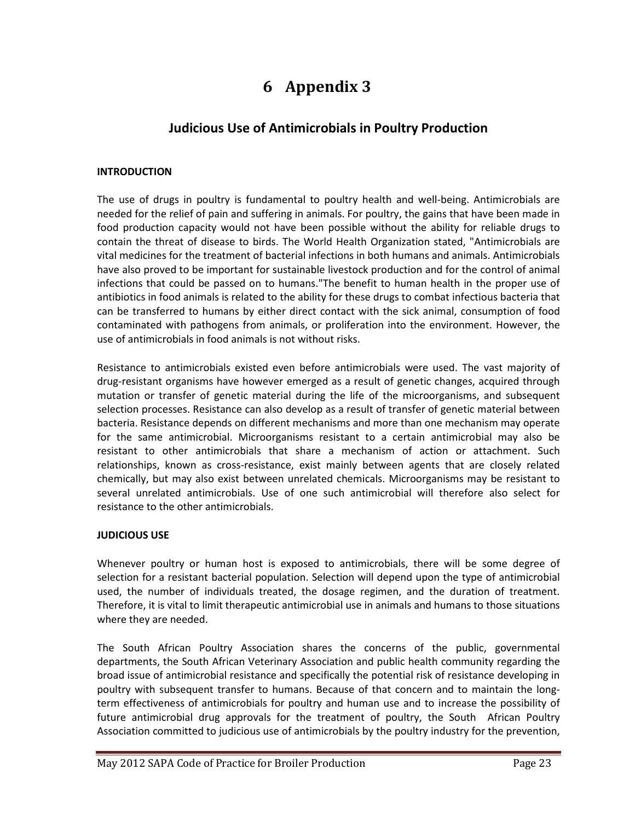## **6 Appendix 3**

## **Judicious Use of Antimicrobials in Poultry Production**

#### <span id="page-22-0"></span>**INTRODUCTION**

The use of drugs in poultry is fundamental to poultry health and well-being. Antimicrobials are needed for the relief of pain and suffering in animals. For poultry, the gains that have been made in food production capacity would not have been possible without the ability for reliable drugs to contain the threat of disease to birds. The World Health Organization stated, "Antimicrobials are vital medicines for the treatment of bacterial infections in both humans and animals. Antimicrobials have also proved to be important for sustainable livestock production and for the control of animal infections that could be passed on to humans."The benefit to human health in the proper use of antibiotics in food animals is related to the ability for these drugs to combat infectious bacteria that can be transferred to humans by either direct contact with the sick animal, consumption of food contaminated with pathogens from animals, or proliferation into the environment. However, the use of antimicrobials in food animals is not without risks.

Resistance to antimicrobials existed even before antimicrobials were used. The vast majority of drug-resistant organisms have however emerged as a result of genetic changes, acquired through mutation or transfer of genetic material during the life of the microorganisms, and subsequent selection processes. Resistance can also develop as a result of transfer of genetic material between bacteria. Resistance depends on different mechanisms and more than one mechanism may operate for the same antimicrobial. Microorganisms resistant to a certain antimicrobial may also be resistant to other antimicrobials that share a mechanism of action or attachment. Such relationships, known as cross-resistance, exist mainly between agents that are closely related chemically, but may also exist between unrelated chemicals. Microorganisms may be resistant to several unrelated antimicrobials. Use of one such antimicrobial will therefore also select for resistance to the other antimicrobials.

#### **JUDICIOUS USE**

Whenever poultry or human host is exposed to antimicrobials, there will be some degree of selection for a resistant bacterial population. Selection will depend upon the type of antimicrobial used, the number of individuals treated, the dosage regimen, and the duration of treatment. Therefore, it is vital to limit therapeutic antimicrobial use in animals and humans to those situations where they are needed.

The South African Poultry Association shares the concerns of the public, governmental departments, the South African Veterinary Association and public health community regarding the broad issue of antimicrobial resistance and specifically the potential risk of resistance developing in poultry with subsequent transfer to humans. Because of that concern and to maintain the longterm effectiveness of antimicrobials for poultry and human use and to increase the possibility of future antimicrobial drug approvals for the treatment of poultry, the South African Poultry Association committed to judicious use of antimicrobials by the poultry industry for the prevention,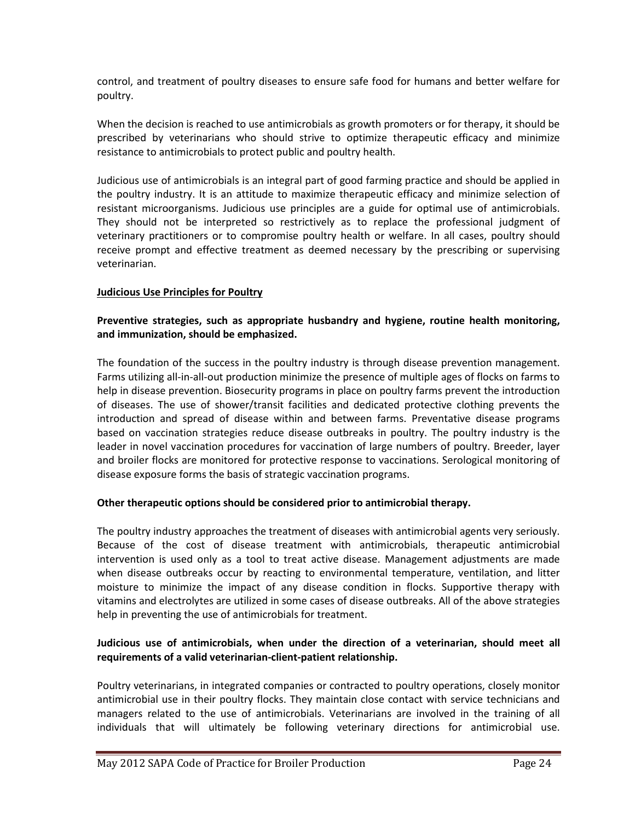control, and treatment of poultry diseases to ensure safe food for humans and better welfare for poultry.

When the decision is reached to use antimicrobials as growth promoters or for therapy, it should be prescribed by veterinarians who should strive to optimize therapeutic efficacy and minimize resistance to antimicrobials to protect public and poultry health.

Judicious use of antimicrobials is an integral part of good farming practice and should be applied in the poultry industry. It is an attitude to maximize therapeutic efficacy and minimize selection of resistant microorganisms. Judicious use principles are a guide for optimal use of antimicrobials. They should not be interpreted so restrictively as to replace the professional judgment of veterinary practitioners or to compromise poultry health or welfare. In all cases, poultry should receive prompt and effective treatment as deemed necessary by the prescribing or supervising veterinarian.

#### **Judicious Use Principles for Poultry**

#### **Preventive strategies, such as appropriate husbandry and hygiene, routine health monitoring, and immunization, should be emphasized.**

The foundation of the success in the poultry industry is through disease prevention management. Farms utilizing all-in-all-out production minimize the presence of multiple ages of flocks on farms to help in disease prevention. Biosecurity programs in place on poultry farms prevent the introduction of diseases. The use of shower/transit facilities and dedicated protective clothing prevents the introduction and spread of disease within and between farms. Preventative disease programs based on vaccination strategies reduce disease outbreaks in poultry. The poultry industry is the leader in novel vaccination procedures for vaccination of large numbers of poultry. Breeder, layer and broiler flocks are monitored for protective response to vaccinations. Serological monitoring of disease exposure forms the basis of strategic vaccination programs.

#### **Other therapeutic options should be considered prior to antimicrobial therapy.**

The poultry industry approaches the treatment of diseases with antimicrobial agents very seriously. Because of the cost of disease treatment with antimicrobials, therapeutic antimicrobial intervention is used only as a tool to treat active disease. Management adjustments are made when disease outbreaks occur by reacting to environmental temperature, ventilation, and litter moisture to minimize the impact of any disease condition in flocks. Supportive therapy with vitamins and electrolytes are utilized in some cases of disease outbreaks. All of the above strategies help in preventing the use of antimicrobials for treatment.

#### **Judicious use of antimicrobials, when under the direction of a veterinarian, should meet all requirements of a valid veterinarian-client-patient relationship.**

Poultry veterinarians, in integrated companies or contracted to poultry operations, closely monitor antimicrobial use in their poultry flocks. They maintain close contact with service technicians and managers related to the use of antimicrobials. Veterinarians are involved in the training of all individuals that will ultimately be following veterinary directions for antimicrobial use.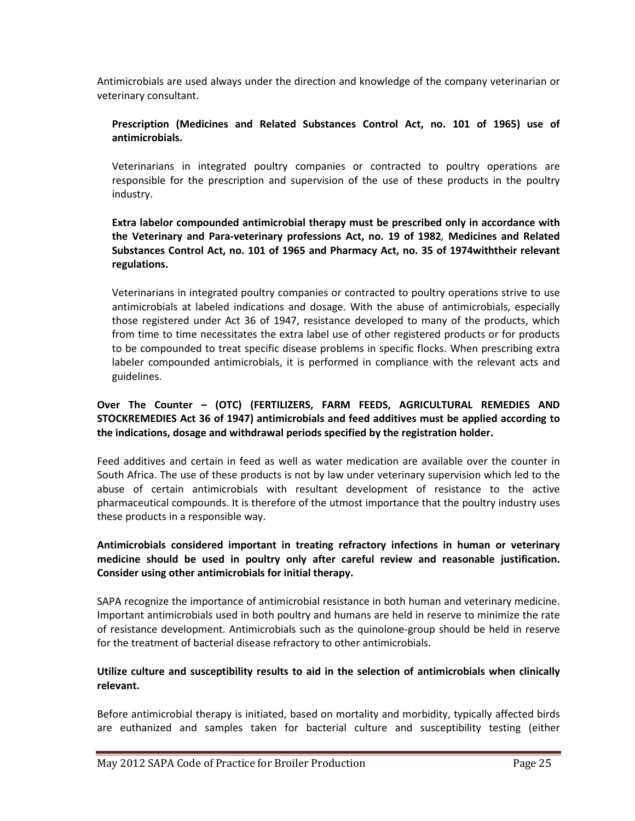Antimicrobials are used always under the direction and knowledge of the company veterinarian or veterinary consultant.

#### **Prescription (Medicines and Related Substances Control Act, no. 101 of 1965) use of antimicrobials.**

Veterinarians in integrated poultry companies or contracted to poultry operations are responsible for the prescription and supervision of the use of these products in the poultry industry.

#### **Extra labelor compounded antimicrobial therapy must be prescribed only in accordance with the Veterinary and Para-veterinary professions Act, no. 19 of 1982***,* **Medicines and Related Substances Control Act, no. 101 of 1965 and Pharmacy Act, no. 35 of 1974withtheir relevant regulations.**

Veterinarians in integrated poultry companies or contracted to poultry operations strive to use antimicrobials at labeled indications and dosage. With the abuse of antimicrobials, especially those registered under Act 36 of 1947, resistance developed to many of the products, which from time to time necessitates the extra label use of other registered products or for products to be compounded to treat specific disease problems in specific flocks. When prescribing extra labeler compounded antimicrobials, it is performed in compliance with the relevant acts and guidelines.

#### **Over The Counter – (OTC) (FERTILIZERS, FARM FEEDS, AGRICULTURAL REMEDIES AND STOCKREMEDIES Act 36 of 1947) antimicrobials and feed additives must be applied according to the indications, dosage and withdrawal periods specified by the registration holder.**

Feed additives and certain in feed as well as water medication are available over the counter in South Africa. The use of these products is not by law under veterinary supervision which led to the abuse of certain antimicrobials with resultant development of resistance to the active pharmaceutical compounds. It is therefore of the utmost importance that the poultry industry uses these products in a responsible way.

#### **Antimicrobials considered important in treating refractory infections in human or veterinary medicine should be used in poultry only after careful review and reasonable justification. Consider using other antimicrobials for initial therapy.**

SAPA recognize the importance of antimicrobial resistance in both human and veterinary medicine. Important antimicrobials used in both poultry and humans are held in reserve to minimize the rate of resistance development. Antimicrobials such as the quinolone-group should be held in reserve for the treatment of bacterial disease refractory to other antimicrobials.

#### **Utilize culture and susceptibility results to aid in the selection of antimicrobials when clinically relevant.**

Before antimicrobial therapy is initiated, based on mortality and morbidity, typically affected birds are euthanized and samples taken for bacterial culture and susceptibility testing (either